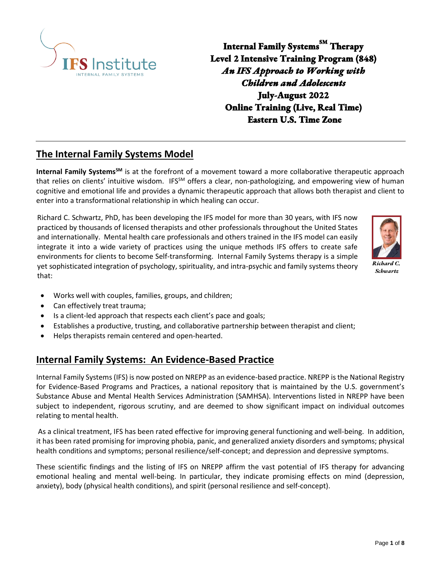

**Internal Family SystemsSM Therapy Level 2 Intensive Training Program (848)**  *An IFS Approach to Working with Children and Adolescents* **July-August 2022 Online Training (Live, Real Time) Eastern U.S. Time Zone** 

# **The Internal Family Systems Model**

**Internal Family SystemsSM** is at the forefront of a movement toward a more collaborative therapeutic approach that relies on clients' intuitive wisdom. IFS<sup>SM</sup> offers a clear, non-pathologizing, and empowering view of human cognitive and emotional life and provides a dynamic therapeutic approach that allows both therapist and client to enter into a transformational relationship in which healing can occur.

Richard C. Schwartz, PhD, has been developing the IFS model for more than 30 years, with IFS now practiced by thousands of licensed therapists and other professionals throughout the United States and internationally. Mental health care professionals and others trained in the IFS model can easily integrate it into a wide variety of practices using the unique methods IFS offers to create safe environments for clients to become Self-transforming. Internal Family Systems therapy is a simple yet sophisticated integration of psychology, spirituality, and intra-psychic and family systems theory that:



*Richard C. Schwartz*

- Works well with couples, families, groups, and children;
- Can effectively treat trauma;
- Is a client-led approach that respects each client's pace and goals;
- Establishes a productive, trusting, and collaborative partnership between therapist and client;
- Helps therapists remain centered and open-hearted.

# **Internal Family Systems: An Evidence-Based Practice**

Internal Family Systems (IFS) is now posted on NREPP as an evidence-based practice. NREPP is the National Registry for Evidence-Based Programs and Practices, a national repository that is maintained by the U.S. government's Substance Abuse and Mental Health Services Administration (SAMHSA). Interventions listed in NREPP have been subject to independent, rigorous scrutiny, and are deemed to show significant impact on individual outcomes relating to mental health.

As a clinical treatment, IFS has been rated effective for improving general functioning and well-being. In addition, it has been rated promising for improving phobia, panic, and generalized anxiety disorders and symptoms; physical health conditions and symptoms; personal resilience/self-concept; and depression and depressive symptoms.

These scientific findings and the listing of IFS on NREPP affirm the vast potential of IFS therapy for advancing emotional healing and mental well-being. In particular, they indicate promising effects on mind (depression, anxiety), body (physical health conditions), and spirit (personal resilience and self-concept).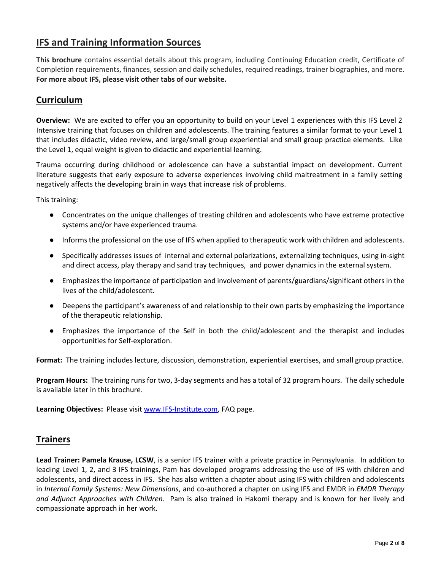# **IFS and Training Information Sources**

**This brochure** contains essential details about this program, including Continuing Education credit, Certificate of Completion requirements, finances, session and daily schedules, required readings, trainer biographies, and more. **For more about IFS, please visit other tabs of our website.** 

# **Curriculum**

**Overview:** We are excited to offer you an opportunity to build on your Level 1 experiences with this IFS Level 2 Intensive training that focuses on children and adolescents. The training features a similar format to your Level 1 that includes didactic, video review, and large/small group experiential and small group practice elements. Like the Level 1, equal weight is given to didactic and experiential learning.

Trauma occurring during childhood or adolescence can have a substantial impact on development. Current literature suggests that early exposure to adverse experiences involving child maltreatment in a family setting negatively affects the developing brain in ways that increase risk of problems.

This training:

- Concentrates on the unique challenges of treating children and adolescents who have extreme protective systems and/or have experienced trauma.
- Informs the professional on the use of IFS when applied to therapeutic work with children and adolescents.
- Specifically addresses issues of internal and external polarizations, externalizing techniques, using in-sight and direct access, play therapy and sand tray techniques, and power dynamics in the external system.
- Emphasizes the importance of participation and involvement of parents/guardians/significant others in the lives of the child/adolescent.
- Deepens the participant's awareness of and relationship to their own parts by emphasizing the importance of the therapeutic relationship.
- Emphasizes the importance of the Self in both the child/adolescent and the therapist and includes opportunities for Self-exploration.

**Format:** The training includes lecture, discussion, demonstration, experiential exercises, and small group practice.

**Program Hours:** The training runs for two, 3-day segments and has a total of 32 program hours. The daily schedule is available later in this brochure.

**Learning Objectives:** Please visit [www.IFS-Institute.com,](http://www.selfleadership.org/) FAQ page.

### **Trainers**

**Lead Trainer: Pamela Krause, LCSW**, is a senior IFS trainer with a private practice in Pennsylvania. In addition to leading Level 1, 2, and 3 IFS trainings, Pam has developed programs addressing the use of IFS with children and adolescents, and direct access in IFS. She has also written a chapter about using IFS with children and adolescents in *Internal Family Systems: New Dimensions*, and co-authored a chapter on using IFS and EMDR in *EMDR Therapy and Adjunct Approaches with Children*. Pam is also trained in Hakomi therapy and is known for her lively and compassionate approach in her work.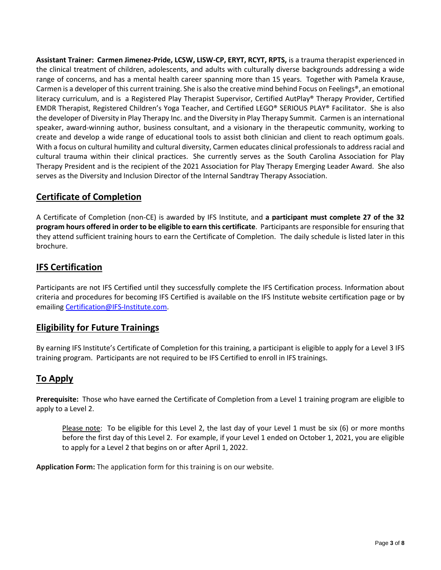**Assistant Trainer: Carmen Jimenez-Pride, LCSW, LISW-CP, ERYT, RCYT, RPTS,** is a trauma therapist experienced in the clinical treatment of children, adolescents, and adults with culturally diverse backgrounds addressing a wide range of concerns, and has a mental health career spanning more than 15 years. Together with Pamela Krause, Carmen is a developer of this current training. She is also the creative mind behind Focus on Feelings®, an emotional literacy curriculum, and is a Registered Play Therapist Supervisor, Certified AutPlay® Therapy Provider, Certified EMDR Therapist, Registered Children's Yoga Teacher, and Certified LEGO® SERIOUS PLAY® Facilitator. She is also the developer of Diversity in Play Therapy Inc. and the Diversity in Play Therapy Summit. Carmen is an international speaker, award-winning author, business consultant, and a visionary in the therapeutic community, working to create and develop a wide range of educational tools to assist both clinician and client to reach optimum goals. With a focus on cultural humility and cultural diversity, Carmen educates clinical professionals to address racial and cultural trauma within their clinical practices. She currently serves as the South Carolina Association for Play Therapy President and is the recipient of the 2021 Association for Play Therapy Emerging Leader Award. She also serves as the Diversity and Inclusion Director of the Internal Sandtray Therapy Association.

# **Certificate of Completion**

A Certificate of Completion (non-CE) is awarded by IFS Institute, and **a participant must complete 27 of the 32 program hours offered in order to be eligible to earn this certificate**. Participants are responsible for ensuring that they attend sufficient training hours to earn the Certificate of Completion. The daily schedule is listed later in this brochure.

# **IFS Certification**

Participants are not IFS Certified until they successfully complete the IFS Certification process. Information about criteria and procedures for becoming IFS Certified is available on the IFS Institute website certification page or by emailing [Certification@IFS-Institute.com.](mailto:Certification@IFS-Institute.com)

# **Eligibility for Future Trainings**

By earning IFS Institute's Certificate of Completion for this training, a participant is eligible to apply for a Level 3 IFS training program. Participants are not required to be IFS Certified to enroll in IFS trainings.

# **To Apply**

**Prerequisite:** Those who have earned the Certificate of Completion from a Level 1 training program are eligible to apply to a Level 2.

Please note: To be eligible for this Level 2, the last day of your Level 1 must be six (6) or more months before the first day of this Level 2. For example, if your Level 1 ended on October 1, 2021, you are eligible to apply for a Level 2 that begins on or after April 1, 2022.

**Application Form:** The application form for this training is on our website.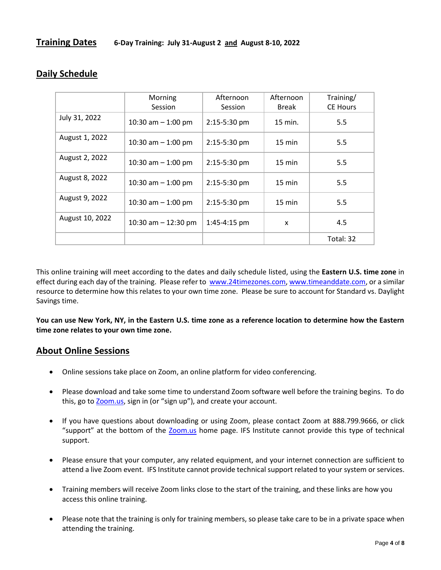|                 | Morning<br>Session    | Afternoon<br>Session | Afternoon<br><b>Break</b> | Training/<br><b>CE Hours</b> |
|-----------------|-----------------------|----------------------|---------------------------|------------------------------|
| July 31, 2022   | 10:30 am $-$ 1:00 pm  | 2:15-5:30 pm         | 15 min.                   | 5.5                          |
| August 1, 2022  | 10:30 am $-$ 1:00 pm  | 2:15-5:30 pm         | $15 \text{ min}$          | 5.5                          |
| August 2, 2022  | 10:30 am $-$ 1:00 pm  | 2:15-5:30 pm         | $15 \text{ min}$          | 5.5                          |
| August 8, 2022  | 10:30 am $-$ 1:00 pm  | 2:15-5:30 pm         | $15 \text{ min}$          | 5.5                          |
| August 9, 2022  | 10:30 am $-$ 1:00 pm  | 2:15-5:30 pm         | 15 min                    | 5.5                          |
| August 10, 2022 | 10:30 am $-$ 12:30 pm | 1:45-4:15 pm         | X                         | 4.5                          |
|                 |                       |                      |                           | Total: 32                    |

# **Daily Schedule**

This online training will meet according to the dates and daily schedule listed, using the **Eastern U.S. time zone** in effect during each day of the training. Please refer to [www.24timezones.com,](http://www.24timezones.com/) [www.timeanddate.com,](http://www.timeanddate.com/) or a similar resource to determine how this relates to your own time zone. Please be sure to account for Standard vs. Daylight Savings time.

**You can use New York, NY, in the Eastern U.S. time zone as a reference location to determine how the Eastern time zone relates to your own time zone.**

#### **About Online Sessions**

- Online sessions take place on Zoom, an online platform for video conferencing.
- Please download and take some time to understand Zoom software well before the training begins. To do this, go to **Zoom.us**, sign in (or "sign up"), and create your account.
- If you have questions about downloading or using Zoom, please contact Zoom at 888.799.9666, or click "support" at the bottom of the [Zoom.us](https://zoom.us/) home page. IFS Institute cannot provide this type of technical support.
- Please ensure that your computer, any related equipment, and your internet connection are sufficient to attend a live Zoom event. IFS Institute cannot provide technical support related to your system or services.
- Training members will receive Zoom links close to the start of the training, and these links are how you access this online training.
- Please note that the training is only for training members, so please take care to be in a private space when attending the training.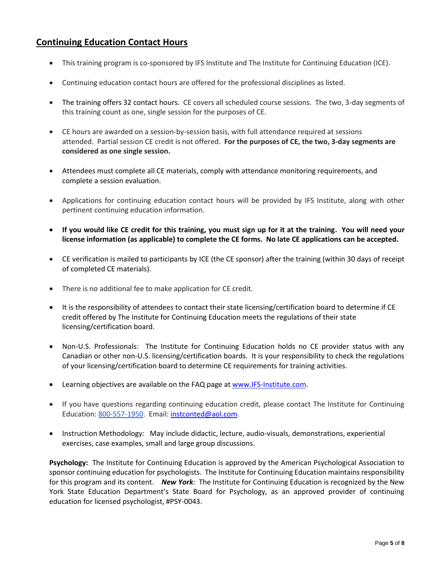# **Continuing Education Contact Hours**

- This training program is co-sponsored by IFS Institute and The Institute for Continuing Education (ICE).
- Continuing education contact hours are offered for the professional disciplines as listed.
- The training offers 32 contact hours. CE covers all scheduled course sessions. The two, 3-day segments of this training count as one, single session for the purposes of CE.
- CE hours are awarded on a session-by-session basis, with full attendance required at sessions attended. Partial session CE credit is not offered. **For the purposes of CE, the two, 3-day segments are considered as one single session.**
- Attendees must complete all CE materials, comply with attendance monitoring requirements, and complete a session evaluation.
- Applications for continuing education contact hours will be provided by IFS Institute, along with other pertinent continuing education information.
- **If you would like CE credit for this training, you must sign up for it at the training. You will need your license information (as applicable) to complete the CE forms. No late CE applications can be accepted.**
- CE verification is mailed to participants by ICE (the CE sponsor) after the training (within 30 days of receipt of completed CE materials).
- There is no additional fee to make application for CE credit.
- It is the responsibility of attendees to contact their state licensing/certification board to determine if CE credit offered by The Institute for Continuing Education meets the regulations of their state licensing/certification board.
- Non-U.S. Professionals: The Institute for Continuing Education holds no CE provider status with any Canadian or other non-U.S. licensing/certification boards. It is your responsibility to check the regulations of your licensing/certification board to determine CE requirements for training activities.
- Learning objectives are available on the FAQ page a[t www.IFS-Institute.com.](http://www.selfleadership.org/)
- If you have questions regarding continuing education credit, please contact The Institute for Continuing Education: 800-557-1950. Email[: instconted@aol.com.](mailto:instconted@aol.com)
- Instruction Methodology: May include didactic, lecture, audio-visuals, demonstrations, experiential exercises, case examples, small and large group discussions.

**Psychology:** The Institute for Continuing Education is approved by the American Psychological Association to sponsor continuing education for psychologists. The Institute for Continuing Education maintains responsibility for this program and its content. *New York:* The Institute for Continuing Education is recognized by the New York State Education Department's State Board for Psychology, as an approved provider of continuing education for licensed psychologist, #PSY-0043.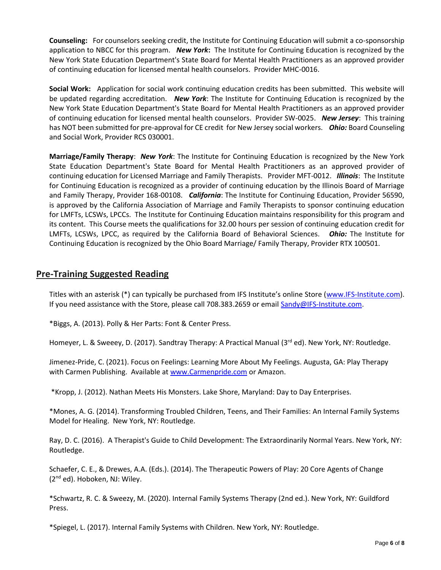**Counseling:** For counselors seeking credit, the Institute for Continuing Education will submit a co-sponsorship application to NBCC for this program. *New York***:** The Institute for Continuing Education is recognized by the New York State Education Department's State Board for Mental Health Practitioners as an approved provider of continuing education for licensed mental health counselors. Provider MHC-0016.

**Social Work:** Application for social work continuing education credits has been submitted. This website will be updated regarding accreditation. *New York*: The Institute for Continuing Education is recognized by the New York State Education Department's State Board for Mental Health Practitioners as an approved provider of continuing education for licensed mental health counselors. Provider SW-0025. *New Jersey*: This training has NOT been submitted for pre-approval for CE credit for New Jersey social workers. *Ohio:* Board Counseling and Social Work, Provider RCS 030001.

**Marriage/Family Therapy**: *New York*: The Institute for Continuing Education is recognized by the New York State Education Department's State Board for Mental Health Practitioners as an approved provider of continuing education for Licensed Marriage and Family Therapists. Provider MFT-0012. *Illinois*: The Institute for Continuing Education is recognized as a provider of continuing education by the Illinois Board of Marriage and Family Therapy, Provider 168-00108. *California*: The Institute for Continuing Education, Provider 56590, is approved by the California Association of Marriage and Family Therapists to sponsor continuing education for LMFTs, LCSWs, LPCCs. The Institute for Continuing Education maintains responsibility for this program and its content. This Course meets the qualifications for 32.00 hours per session of continuing education credit for LMFTs, LCSWs, LPCC, as required by the California Board of Behavioral Sciences. *Ohio:* The Institute for Continuing Education is recognized by the Ohio Board Marriage/ Family Therapy, Provider RTX 100501.

# **Pre-Training Suggested Reading**

Titles with an asterisk (\*) can typically be purchased from IFS Institute's online Store ([www.IFS-Institute.com\)](http://www.ifs-institute.com/). If you need assistance with the Store, please call 708.383.2659 or emai[l Sandy@IFS-Institute.com.](mailto:Sandy@selfleadership.org)

\*Biggs, A. (2013). Polly & Her Parts: Font & Center Press.

Homeyer, L. & Sweeey, D. (2017). Sandtray Therapy: A Practical Manual (3rd ed). New York, NY: Routledge.

Jimenez-Pride, C. (2021). Focus on Feelings: Learning More About My Feelings. Augusta, GA: Play Therapy with Carmen Publishing. Available at [www.Carmenpride.com](http://www.carmenpride.com/) or Amazon.

\*Kropp, J. (2012). Nathan Meets His Monsters. Lake Shore, Maryland: Day to Day Enterprises.

\*Mones, A. G. (2014). Transforming Troubled Children, Teens, and Their Families: An Internal Family Systems Model for Healing. New York, NY: Routledge.

Ray, D. C. (2016). A Therapist's Guide to Child Development: The Extraordinarily Normal Years. New York, NY: Routledge.

Schaefer, C. E., & Drewes, A.A. (Eds.). (2014). The Therapeutic Powers of Play: 20 Core Agents of Change (2nd ed). Hoboken, NJ: Wiley.

\*Schwartz, R. C. & Sweezy, M. (2020). Internal Family Systems Therapy (2nd ed.). New York, NY: Guildford Press.

\*Spiegel, L. (2017). Internal Family Systems with Children. New York, NY: Routledge.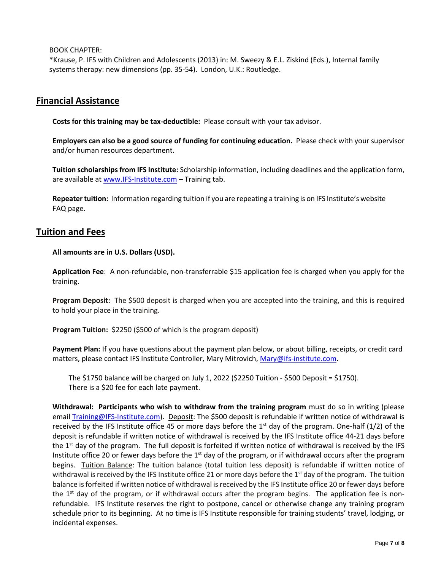BOOK CHAPTER:

\*Krause, P. IFS with Children and Adolescents (2013) in: M. Sweezy & E.L. Ziskind (Eds.), Internal family systems therapy: new dimensions (pp. 35-54). London, U.K.: Routledge.

### **Financial Assistance**

**Costs for this training may be tax-deductible:** Please consult with your tax advisor.

**Employers can also be a good source of funding for continuing education.** Please check with your supervisor and/or human resources department.

**Tuition scholarships from IFS Institute:** Scholarship information, including deadlines and the application form, are available a[t www.IFS-Institute.com](http://www.ifs-institute.com/) – Training tab.

**Repeater tuition:** Information regarding tuition if you are repeating a training is on IFS Institute's website FAQ page.

### **Tuition and Fees**

**All amounts are in U.S. Dollars (USD).**

**Application Fee**: A non-refundable, non-transferrable \$15 application fee is charged when you apply for the training.

**Program Deposit:** The \$500 deposit is charged when you are accepted into the training, and this is required to hold your place in the training.

**Program Tuition:** \$2250 (\$500 of which is the program deposit)

**Payment Plan:** If you have questions about the payment plan below, or about billing, receipts, or credit card matters, please contact IFS Institute Controller, Mary Mitrovich[, Mary@ifs-institute.com.](mailto:Mary@ifs-institute.com)

The \$1750 balance will be charged on July 1, 2022 (\$2250 Tuition - \$500 Deposit = \$1750). There is a \$20 fee for each late payment.

**Withdrawal: Participants who wish to withdraw from the training program** must do so in writing (please email [Training@IFS-Institute.com\)](mailto:Training@IFS-Institute.com). Deposit: The \$500 deposit is refundable if written notice of withdrawal is received by the IFS Institute office 45 or more days before the 1<sup>st</sup> day of the program. One-half  $(1/2)$  of the deposit is refundable if written notice of withdrawal is received by the IFS Institute office 44-21 days before the  $1<sup>st</sup>$  day of the program. The full deposit is forfeited if written notice of withdrawal is received by the IFS Institute office 20 or fewer days before the  $1<sup>st</sup>$  day of the program, or if withdrawal occurs after the program begins. Tuition Balance: The tuition balance (total tuition less deposit) is refundable if written notice of withdrawal is received by the IFS Institute office 21 or more days before the  $1<sup>st</sup>$  day of the program. The tuition balance is forfeited if written notice of withdrawal is received by the IFS Institute office 20 or fewer days before the  $1<sup>st</sup>$  day of the program, or if withdrawal occurs after the program begins. The application fee is nonrefundable. IFS Institute reserves the right to postpone, cancel or otherwise change any training program schedule prior to its beginning. At no time is IFS Institute responsible for training students' travel, lodging, or incidental expenses.